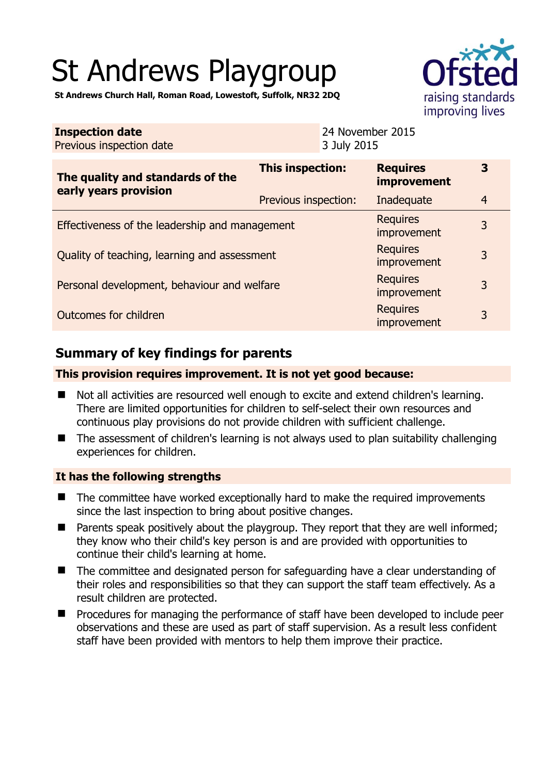# St Andrews Playgroup



**St Andrews Church Hall, Roman Road, Lowestoft, Suffolk, NR32 2DQ** 

| <b>Inspection date</b><br>Previous inspection date        | 24 November 2015<br>3 July 2015 |                                       |                |
|-----------------------------------------------------------|---------------------------------|---------------------------------------|----------------|
| The quality and standards of the<br>early years provision | This inspection:                | <b>Requires</b><br><b>improvement</b> | 3              |
|                                                           | Previous inspection:            | Inadequate                            | $\overline{4}$ |
| Effectiveness of the leadership and management            | <b>Requires</b><br>improvement  | 3                                     |                |
| Quality of teaching, learning and assessment              |                                 | <b>Requires</b><br>improvement        | 3              |
| Personal development, behaviour and welfare               |                                 | <b>Requires</b><br>improvement        | 3              |
| <b>Requires</b><br>Outcomes for children<br>improvement   |                                 |                                       | 3              |

# **Summary of key findings for parents**

## **This provision requires improvement. It is not yet good because:**

- Not all activities are resourced well enough to excite and extend children's learning. There are limited opportunities for children to self-select their own resources and continuous play provisions do not provide children with sufficient challenge.
- The assessment of children's learning is not always used to plan suitability challenging experiences for children.

## **It has the following strengths**

- The committee have worked exceptionally hard to make the required improvements since the last inspection to bring about positive changes.
- Parents speak positively about the playgroup. They report that they are well informed; they know who their child's key person is and are provided with opportunities to continue their child's learning at home.
- The committee and designated person for safeguarding have a clear understanding of their roles and responsibilities so that they can support the staff team effectively. As a result children are protected.
- **Perocedures for managing the performance of staff have been developed to include peer** observations and these are used as part of staff supervision. As a result less confident staff have been provided with mentors to help them improve their practice.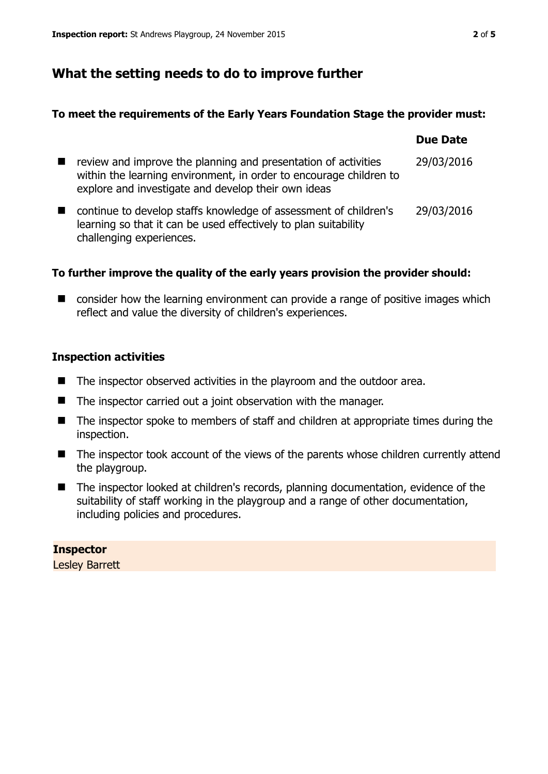# **What the setting needs to do to improve further**

#### **To meet the requirements of the Early Years Foundation Stage the provider must:**

|                                                                                                                                                                                             | <b>Due Date</b> |
|---------------------------------------------------------------------------------------------------------------------------------------------------------------------------------------------|-----------------|
| review and improve the planning and presentation of activities<br>within the learning environment, in order to encourage children to<br>explore and investigate and develop their own ideas | 29/03/2016      |
| continue to develop staffs knowledge of assessment of children's<br>learning so that it can be used effectively to plan suitability<br>challenging experiences.                             | 29/03/2016      |

## **To further improve the quality of the early years provision the provider should:**

■ consider how the learning environment can provide a range of positive images which reflect and value the diversity of children's experiences.

#### **Inspection activities**

- $\blacksquare$  The inspector observed activities in the playroom and the outdoor area.
- $\blacksquare$  The inspector carried out a joint observation with the manager.
- The inspector spoke to members of staff and children at appropriate times during the inspection.
- The inspector took account of the views of the parents whose children currently attend the playgroup.
- The inspector looked at children's records, planning documentation, evidence of the suitability of staff working in the playgroup and a range of other documentation, including policies and procedures.

## **Inspector**

Lesley Barrett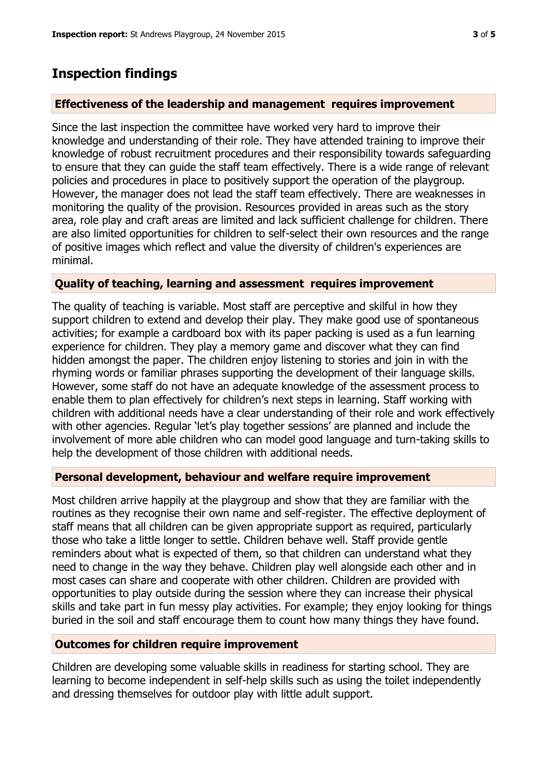## **Inspection findings**

#### **Effectiveness of the leadership and management requires improvement**

Since the last inspection the committee have worked very hard to improve their knowledge and understanding of their role. They have attended training to improve their knowledge of robust recruitment procedures and their responsibility towards safeguarding to ensure that they can guide the staff team effectively. There is a wide range of relevant policies and procedures in place to positively support the operation of the playgroup. However, the manager does not lead the staff team effectively. There are weaknesses in monitoring the quality of the provision. Resources provided in areas such as the story area, role play and craft areas are limited and lack sufficient challenge for children. There are also limited opportunities for children to self-select their own resources and the range of positive images which reflect and value the diversity of children's experiences are minimal.

#### **Quality of teaching, learning and assessment requires improvement**

The quality of teaching is variable. Most staff are perceptive and skilful in how they support children to extend and develop their play. They make good use of spontaneous activities; for example a cardboard box with its paper packing is used as a fun learning experience for children. They play a memory game and discover what they can find hidden amongst the paper. The children enjoy listening to stories and join in with the rhyming words or familiar phrases supporting the development of their language skills. However, some staff do not have an adequate knowledge of the assessment process to enable them to plan effectively for children's next steps in learning. Staff working with children with additional needs have a clear understanding of their role and work effectively with other agencies. Regular 'let's play together sessions' are planned and include the involvement of more able children who can model good language and turn-taking skills to help the development of those children with additional needs.

#### **Personal development, behaviour and welfare require improvement**

Most children arrive happily at the playgroup and show that they are familiar with the routines as they recognise their own name and self-register. The effective deployment of staff means that all children can be given appropriate support as required, particularly those who take a little longer to settle. Children behave well. Staff provide gentle reminders about what is expected of them, so that children can understand what they need to change in the way they behave. Children play well alongside each other and in most cases can share and cooperate with other children. Children are provided with opportunities to play outside during the session where they can increase their physical skills and take part in fun messy play activities. For example; they enjoy looking for things buried in the soil and staff encourage them to count how many things they have found.

#### **Outcomes for children require improvement**

Children are developing some valuable skills in readiness for starting school. They are learning to become independent in self-help skills such as using the toilet independently and dressing themselves for outdoor play with little adult support.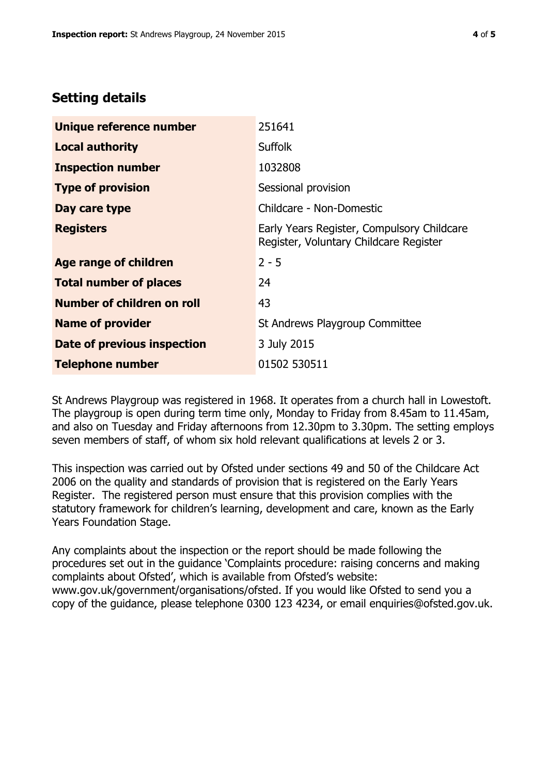# **Setting details**

| Unique reference number           | 251641                                                                               |
|-----------------------------------|--------------------------------------------------------------------------------------|
| <b>Local authority</b>            | <b>Suffolk</b>                                                                       |
| <b>Inspection number</b>          | 1032808                                                                              |
| <b>Type of provision</b>          | Sessional provision                                                                  |
| Day care type                     | Childcare - Non-Domestic                                                             |
| <b>Registers</b>                  | Early Years Register, Compulsory Childcare<br>Register, Voluntary Childcare Register |
| <b>Age range of children</b>      | $2 - 5$                                                                              |
| <b>Total number of places</b>     | 24                                                                                   |
| <b>Number of children on roll</b> | 43                                                                                   |
| <b>Name of provider</b>           | St Andrews Playgroup Committee                                                       |
| Date of previous inspection       | 3 July 2015                                                                          |
| <b>Telephone number</b>           | 01502 530511                                                                         |

St Andrews Playgroup was registered in 1968. It operates from a church hall in Lowestoft. The playgroup is open during term time only, Monday to Friday from 8.45am to 11.45am, and also on Tuesday and Friday afternoons from 12.30pm to 3.30pm. The setting employs seven members of staff, of whom six hold relevant qualifications at levels 2 or 3.

This inspection was carried out by Ofsted under sections 49 and 50 of the Childcare Act 2006 on the quality and standards of provision that is registered on the Early Years Register. The registered person must ensure that this provision complies with the statutory framework for children's learning, development and care, known as the Early Years Foundation Stage.

Any complaints about the inspection or the report should be made following the procedures set out in the guidance 'Complaints procedure: raising concerns and making complaints about Ofsted', which is available from Ofsted's website: www.gov.uk/government/organisations/ofsted. If you would like Ofsted to send you a copy of the guidance, please telephone 0300 123 4234, or email enquiries@ofsted.gov.uk.